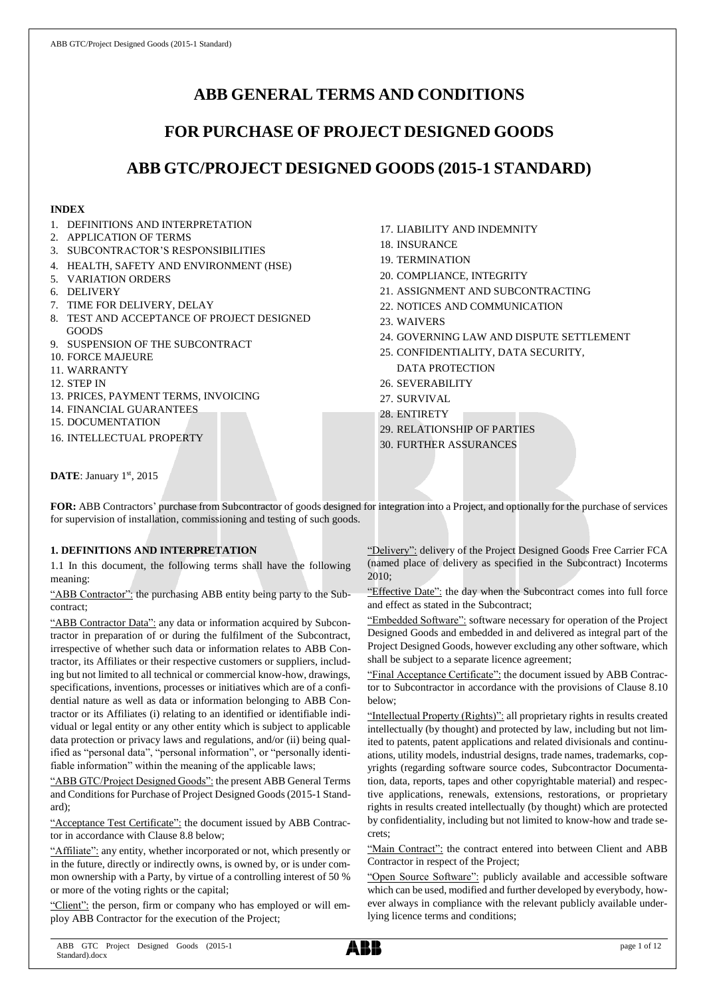# **ABB GENERAL TERMS AND CONDITIONS**

# **FOR PURCHASE OF PROJECT DESIGNED GOODS**

# **ABB GTC/PROJECT DESIGNED GOODS (2015-1 STANDARD)**

## **INDEX**

- 1. DEFINITIONS AND INTERPRETATION
- 2. APPLICATION OF TERMS
- 3. SUBCONTRACTOR'S RESPONSIBILITIES
- 4. HEALTH, SAFETY AND ENVIRONMENT (HSE)
- 5. VARIATION ORDERS
- 6. DELIVERY
- 7. TIME FOR DELIVERY, DELAY
- 8. TEST AND ACCEPTANCE OF PROJECT DESIGNED GOODS
- 9. SUSPENSION OF THE SUBCONTRACT
- 10. FORCE MAJEURE
- 11. WARRANTY
- 12. STEP IN
- 13. PRICES, PAYMENT TERMS, INVOICING
- 14. FINANCIAL GUARANTEES
- 15. DOCUMENTATION
- 16. INTELLECTUAL PROPERTY
- 17. LIABILITY AND INDEMNITY
- 18. INSURANCE
- 19. TERMINATION
- 20. COMPLIANCE, INTEGRITY
- 21. ASSIGNMENT AND SUBCONTRACTING
- 22. NOTICES AND COMMUNICATION
- 23. WAIVERS
- 24. GOVERNING LAW AND DISPUTE SETTLEMENT
- 25. CONFIDENTIALITY, DATA SECURITY, DATA PROTECTION
- 26. SEVERABILITY
- 27. SURVIVAL
- 28. ENTIRETY
- 29. RELATIONSHIP OF PARTIES
- 30. FURTHER ASSURANCES

DATE: January 1st, 2015

**FOR:** ABB Contractors' purchase from Subcontractor of goods designed for integration into a Project, and optionally for the purchase of services for supervision of installation, commissioning and testing of such goods.

# **1. DEFINITIONS AND INTERPRETATION**

1.1 In this document, the following terms shall have the following meaning:

"ABB Contractor": the purchasing ABB entity being party to the Subcontract;

"ABB Contractor Data": any data or information acquired by Subcontractor in preparation of or during the fulfilment of the Subcontract, irrespective of whether such data or information relates to ABB Contractor, its Affiliates or their respective customers or suppliers, including but not limited to all technical or commercial know-how, drawings, specifications, inventions, processes or initiatives which are of a confidential nature as well as data or information belonging to ABB Contractor or its Affiliates (i) relating to an identified or identifiable individual or legal entity or any other entity which is subject to applicable data protection or privacy laws and regulations, and/or (ii) being qualified as "personal data", "personal information", or "personally identifiable information" within the meaning of the applicable laws;

"ABB GTC/Project Designed Goods": the present ABB General Terms and Conditions for Purchase of Project Designed Goods (2015-1 Standard);

"Acceptance Test Certificate": the document issued by ABB Contractor in accordance with Clause 8.8 below;

"Affiliate": any entity, whether incorporated or not, which presently or in the future, directly or indirectly owns, is owned by, or is under common ownership with a Party, by virtue of a controlling interest of 50 % or more of the voting rights or the capital;

"Client": the person, firm or company who has employed or will employ ABB Contractor for the execution of the Project;

"Delivery": delivery of the Project Designed Goods Free Carrier FCA (named place of delivery as specified in the Subcontract) Incoterms 2010;

"Effective Date": the day when the Subcontract comes into full force and effect as stated in the Subcontract;

"Embedded Software": software necessary for operation of the Project Designed Goods and embedded in and delivered as integral part of the Project Designed Goods, however excluding any other software, which shall be subject to a separate licence agreement;

"Final Acceptance Certificate": the document issued by ABB Contractor to Subcontractor in accordance with the provisions of Clause 8.10 below;

"Intellectual Property (Rights)": all proprietary rights in results created intellectually (by thought) and protected by law, including but not limited to patents, patent applications and related divisionals and continuations, utility models, industrial designs, trade names, trademarks, copyrights (regarding software source codes, Subcontractor Documentation, data, reports, tapes and other copyrightable material) and respective applications, renewals, extensions, restorations, or proprietary rights in results created intellectually (by thought) which are protected by confidentiality, including but not limited to know-how and trade secrets;

"Main Contract": the contract entered into between Client and ABB Contractor in respect of the Project;

"Open Source Software": publicly available and accessible software which can be used, modified and further developed by everybody, however always in compliance with the relevant publicly available underlying licence terms and conditions;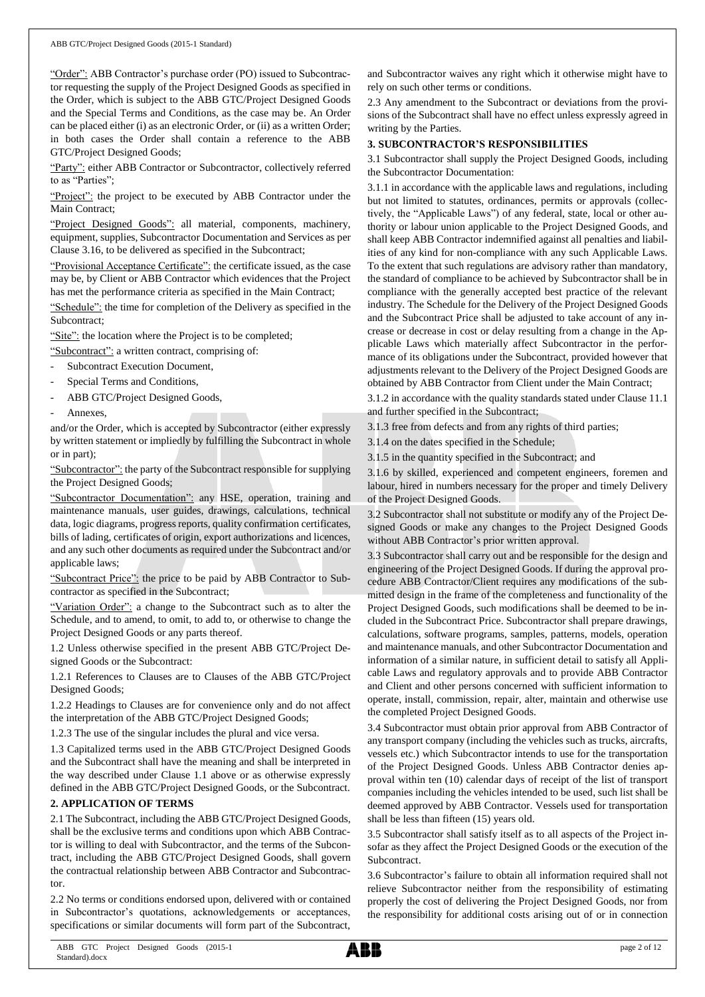"Order": ABB Contractor's purchase order (PO) issued to Subcontractor requesting the supply of the Project Designed Goods as specified in the Order, which is subject to the ABB GTC/Project Designed Goods and the Special Terms and Conditions, as the case may be. An Order can be placed either (i) as an electronic Order, or (ii) as a written Order; in both cases the Order shall contain a reference to the ABB GTC/Project Designed Goods;

"Party": either ABB Contractor or Subcontractor, collectively referred to as "Parties";

"Project": the project to be executed by ABB Contractor under the Main Contract;

"Project Designed Goods": all material, components, machinery, equipment, supplies, Subcontractor Documentation and Services as per Clause 3.16, to be delivered as specified in the Subcontract;

"Provisional Acceptance Certificate": the certificate issued, as the case may be, by Client or ABB Contractor which evidences that the Project has met the performance criteria as specified in the Main Contract;

"Schedule": the time for completion of the Delivery as specified in the Subcontract;

"Site": the location where the Project is to be completed;

"Subcontract": a written contract, comprising of:

- Subcontract Execution Document,
- Special Terms and Conditions,
- ABB GTC/Project Designed Goods,
- Annexes.

and/or the Order, which is accepted by Subcontractor (either expressly by written statement or impliedly by fulfilling the Subcontract in whole or in part);

"Subcontractor": the party of the Subcontract responsible for supplying the Project Designed Goods;

"Subcontractor Documentation": any HSE, operation, training and maintenance manuals, user guides, drawings, calculations, technical data, logic diagrams, progress reports, quality confirmation certificates, bills of lading, certificates of origin, export authorizations and licences, and any such other documents as required under the Subcontract and/or applicable laws;

"Subcontract Price": the price to be paid by ABB Contractor to Subcontractor as specified in the Subcontract;

"Variation Order": a change to the Subcontract such as to alter the Schedule, and to amend, to omit, to add to, or otherwise to change the Project Designed Goods or any parts thereof.

1.2 Unless otherwise specified in the present ABB GTC/Project Designed Goods or the Subcontract:

1.2.1 References to Clauses are to Clauses of the ABB GTC/Project Designed Goods;

1.2.2 Headings to Clauses are for convenience only and do not affect the interpretation of the ABB GTC/Project Designed Goods;

1.2.3 The use of the singular includes the plural and vice versa.

1.3 Capitalized terms used in the ABB GTC/Project Designed Goods and the Subcontract shall have the meaning and shall be interpreted in the way described under Clause 1.1 above or as otherwise expressly defined in the ABB GTC/Project Designed Goods, or the Subcontract.

## **2. APPLICATION OF TERMS**

2.1 The Subcontract, including the ABB GTC/Project Designed Goods, shall be the exclusive terms and conditions upon which ABB Contractor is willing to deal with Subcontractor, and the terms of the Subcontract, including the ABB GTC/Project Designed Goods, shall govern the contractual relationship between ABB Contractor and Subcontractor.

2.2 No terms or conditions endorsed upon, delivered with or contained in Subcontractor's quotations, acknowledgements or acceptances, specifications or similar documents will form part of the Subcontract,

and Subcontractor waives any right which it otherwise might have to rely on such other terms or conditions.

2.3 Any amendment to the Subcontract or deviations from the provisions of the Subcontract shall have no effect unless expressly agreed in writing by the Parties.

## **3. SUBCONTRACTOR'S RESPONSIBILITIES**

3.1 Subcontractor shall supply the Project Designed Goods, including the Subcontractor Documentation:

3.1.1 in accordance with the applicable laws and regulations, including but not limited to statutes, ordinances, permits or approvals (collectively, the "Applicable Laws") of any federal, state, local or other authority or labour union applicable to the Project Designed Goods, and shall keep ABB Contractor indemnified against all penalties and liabilities of any kind for non-compliance with any such Applicable Laws. To the extent that such regulations are advisory rather than mandatory, the standard of compliance to be achieved by Subcontractor shall be in compliance with the generally accepted best practice of the relevant industry. The Schedule for the Delivery of the Project Designed Goods and the Subcontract Price shall be adjusted to take account of any increase or decrease in cost or delay resulting from a change in the Applicable Laws which materially affect Subcontractor in the performance of its obligations under the Subcontract, provided however that adjustments relevant to the Delivery of the Project Designed Goods are obtained by ABB Contractor from Client under the Main Contract;

3.1.2 in accordance with the quality standards stated under Clause 11.1 and further specified in the Subcontract;

3.1.3 free from defects and from any rights of third parties;

3.1.4 on the dates specified in the Schedule;

3.1.5 in the quantity specified in the Subcontract; and

3.1.6 by skilled, experienced and competent engineers, foremen and labour, hired in numbers necessary for the proper and timely Delivery of the Project Designed Goods.

3.2 Subcontractor shall not substitute or modify any of the Project Designed Goods or make any changes to the Project Designed Goods without ABB Contractor's prior written approval.

3.3 Subcontractor shall carry out and be responsible for the design and engineering of the Project Designed Goods. If during the approval procedure ABB Contractor/Client requires any modifications of the submitted design in the frame of the completeness and functionality of the Project Designed Goods, such modifications shall be deemed to be included in the Subcontract Price. Subcontractor shall prepare drawings, calculations, software programs, samples, patterns, models, operation and maintenance manuals, and other Subcontractor Documentation and information of a similar nature, in sufficient detail to satisfy all Applicable Laws and regulatory approvals and to provide ABB Contractor and Client and other persons concerned with sufficient information to operate, install, commission, repair, alter, maintain and otherwise use the completed Project Designed Goods.

3.4 Subcontractor must obtain prior approval from ABB Contractor of any transport company (including the vehicles such as trucks, aircrafts, vessels etc.) which Subcontractor intends to use for the transportation of the Project Designed Goods. Unless ABB Contractor denies approval within ten (10) calendar days of receipt of the list of transport companies including the vehicles intended to be used, such list shall be deemed approved by ABB Contractor. Vessels used for transportation shall be less than fifteen (15) years old.

3.5 Subcontractor shall satisfy itself as to all aspects of the Project insofar as they affect the Project Designed Goods or the execution of the Subcontract.

3.6 Subcontractor's failure to obtain all information required shall not relieve Subcontractor neither from the responsibility of estimating properly the cost of delivering the Project Designed Goods, nor from the responsibility for additional costs arising out of or in connection

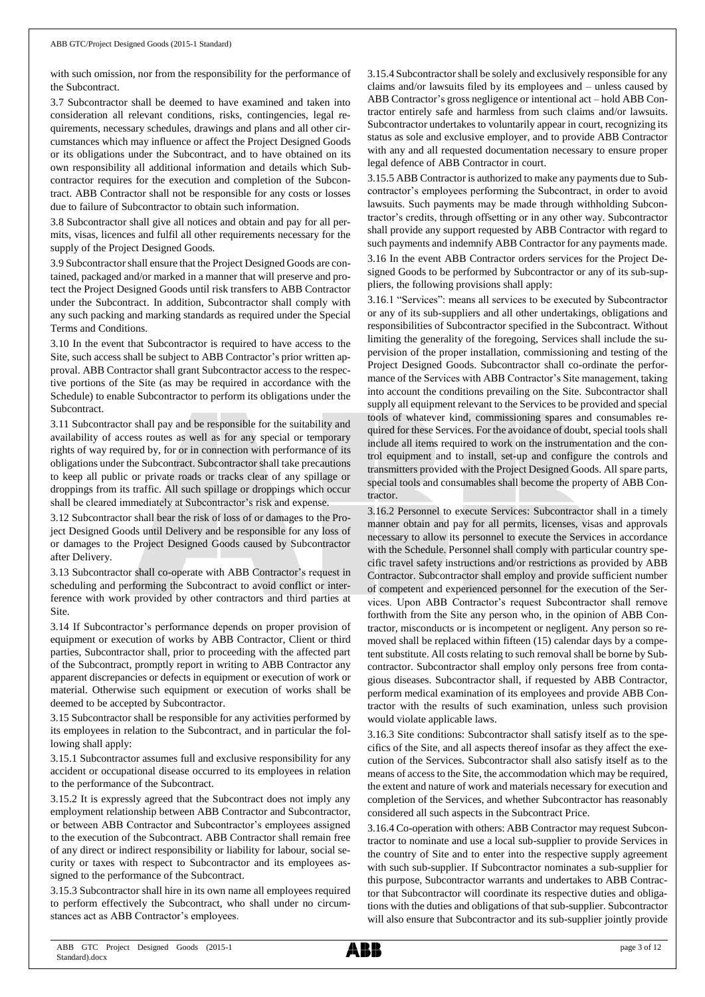with such omission, nor from the responsibility for the performance of the Subcontract.

3.7 Subcontractor shall be deemed to have examined and taken into consideration all relevant conditions, risks, contingencies, legal requirements, necessary schedules, drawings and plans and all other circumstances which may influence or affect the Project Designed Goods or its obligations under the Subcontract, and to have obtained on its own responsibility all additional information and details which Subcontractor requires for the execution and completion of the Subcontract. ABB Contractor shall not be responsible for any costs or losses due to failure of Subcontractor to obtain such information.

3.8 Subcontractor shall give all notices and obtain and pay for all permits, visas, licences and fulfil all other requirements necessary for the supply of the Project Designed Goods.

3.9 Subcontractorshall ensure that the Project Designed Goods are contained, packaged and/or marked in a manner that will preserve and protect the Project Designed Goods until risk transfers to ABB Contractor under the Subcontract. In addition, Subcontractor shall comply with any such packing and marking standards as required under the Special Terms and Conditions.

3.10 In the event that Subcontractor is required to have access to the Site, such access shall be subject to ABB Contractor's prior written approval. ABB Contractor shall grant Subcontractor access to the respective portions of the Site (as may be required in accordance with the Schedule) to enable Subcontractor to perform its obligations under the Subcontract.

3.11 Subcontractor shall pay and be responsible for the suitability and availability of access routes as well as for any special or temporary rights of way required by, for or in connection with performance of its obligations under the Subcontract. Subcontractor shall take precautions to keep all public or private roads or tracks clear of any spillage or droppings from its traffic. All such spillage or droppings which occur shall be cleared immediately at Subcontractor's risk and expense.

3.12 Subcontractor shall bear the risk of loss of or damages to the Project Designed Goods until Delivery and be responsible for any loss of or damages to the Project Designed Goods caused by Subcontractor after Delivery.

3.13 Subcontractor shall co-operate with ABB Contractor's request in scheduling and performing the Subcontract to avoid conflict or interference with work provided by other contractors and third parties at Site.

3.14 If Subcontractor's performance depends on proper provision of equipment or execution of works by ABB Contractor, Client or third parties, Subcontractor shall, prior to proceeding with the affected part of the Subcontract, promptly report in writing to ABB Contractor any apparent discrepancies or defects in equipment or execution of work or material. Otherwise such equipment or execution of works shall be deemed to be accepted by Subcontractor.

3.15 Subcontractor shall be responsible for any activities performed by its employees in relation to the Subcontract, and in particular the following shall apply:

3.15.1 Subcontractor assumes full and exclusive responsibility for any accident or occupational disease occurred to its employees in relation to the performance of the Subcontract.

3.15.2 It is expressly agreed that the Subcontract does not imply any employment relationship between ABB Contractor and Subcontractor, or between ABB Contractor and Subcontractor's employees assigned to the execution of the Subcontract. ABB Contractor shall remain free of any direct or indirect responsibility or liability for labour, social security or taxes with respect to Subcontractor and its employees assigned to the performance of the Subcontract.

3.15.3 Subcontractor shall hire in its own name all employees required to perform effectively the Subcontract, who shall under no circumstances act as ABB Contractor's employees.

3.15.4 Subcontractor shall be solely and exclusively responsible for any claims and/or lawsuits filed by its employees and – unless caused by ABB Contractor's gross negligence or intentional act – hold ABB Contractor entirely safe and harmless from such claims and/or lawsuits. Subcontractor undertakes to voluntarily appear in court, recognizing its status as sole and exclusive employer, and to provide ABB Contractor with any and all requested documentation necessary to ensure proper legal defence of ABB Contractor in court.

3.15.5 ABB Contractor is authorized to make any payments due to Subcontractor's employees performing the Subcontract, in order to avoid lawsuits. Such payments may be made through withholding Subcontractor's credits, through offsetting or in any other way. Subcontractor shall provide any support requested by ABB Contractor with regard to such payments and indemnify ABB Contractor for any payments made.

3.16 In the event ABB Contractor orders services for the Project Designed Goods to be performed by Subcontractor or any of its sub-suppliers, the following provisions shall apply:

3.16.1 "Services": means all services to be executed by Subcontractor or any of its sub-suppliers and all other undertakings, obligations and responsibilities of Subcontractor specified in the Subcontract. Without limiting the generality of the foregoing, Services shall include the supervision of the proper installation, commissioning and testing of the Project Designed Goods. Subcontractor shall co-ordinate the performance of the Services with ABB Contractor's Site management, taking into account the conditions prevailing on the Site. Subcontractor shall supply all equipment relevant to the Services to be provided and special tools of whatever kind, commissioning spares and consumables required for these Services. For the avoidance of doubt, special tools shall include all items required to work on the instrumentation and the control equipment and to install, set-up and configure the controls and transmitters provided with the Project Designed Goods. All spare parts, special tools and consumables shall become the property of ABB Contractor.

3.16.2 Personnel to execute Services: Subcontractor shall in a timely manner obtain and pay for all permits, licenses, visas and approvals necessary to allow its personnel to execute the Services in accordance with the Schedule. Personnel shall comply with particular country specific travel safety instructions and/or restrictions as provided by ABB Contractor. Subcontractor shall employ and provide sufficient number of competent and experienced personnel for the execution of the Services. Upon ABB Contractor's request Subcontractor shall remove forthwith from the Site any person who, in the opinion of ABB Contractor, misconducts or is incompetent or negligent. Any person so removed shall be replaced within fifteen (15) calendar days by a competent substitute. All costs relating to such removal shall be borne by Subcontractor. Subcontractor shall employ only persons free from contagious diseases. Subcontractor shall, if requested by ABB Contractor, perform medical examination of its employees and provide ABB Contractor with the results of such examination, unless such provision would violate applicable laws.

3.16.3 Site conditions: Subcontractor shall satisfy itself as to the specifics of the Site, and all aspects thereof insofar as they affect the execution of the Services. Subcontractor shall also satisfy itself as to the means of access to the Site, the accommodation which may be required, the extent and nature of work and materials necessary for execution and completion of the Services, and whether Subcontractor has reasonably considered all such aspects in the Subcontract Price.

3.16.4 Co-operation with others: ABB Contractor may request Subcontractor to nominate and use a local sub-supplier to provide Services in the country of Site and to enter into the respective supply agreement with such sub-supplier. If Subcontractor nominates a sub-supplier for this purpose, Subcontractor warrants and undertakes to ABB Contractor that Subcontractor will coordinate its respective duties and obligations with the duties and obligations of that sub-supplier. Subcontractor will also ensure that Subcontractor and its sub-supplier jointly provide

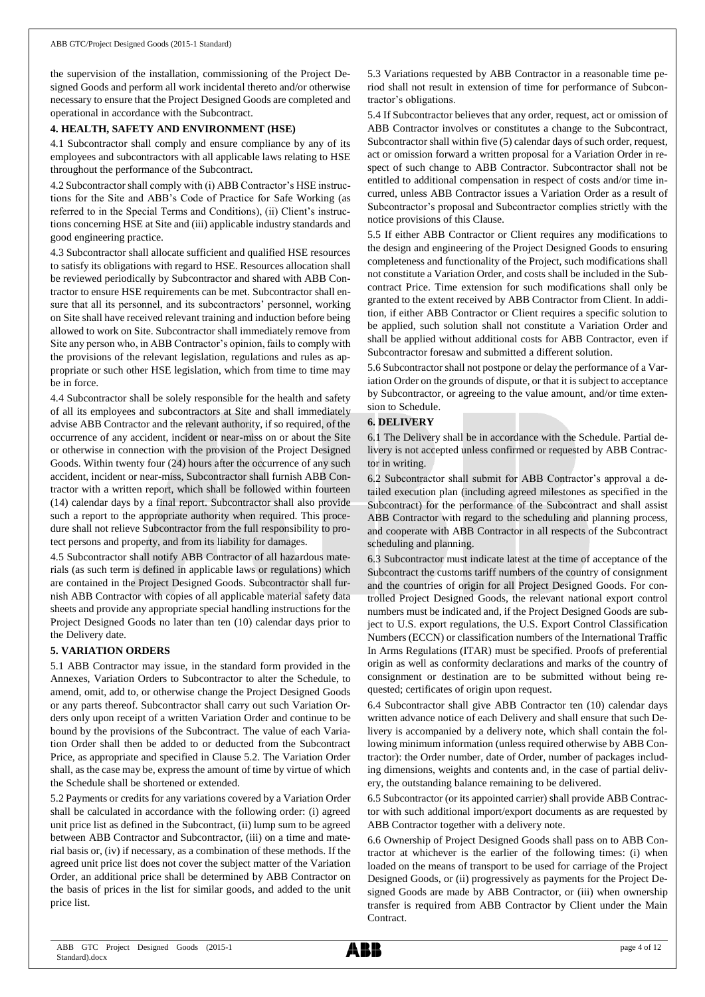the supervision of the installation, commissioning of the Project Designed Goods and perform all work incidental thereto and/or otherwise necessary to ensure that the Project Designed Goods are completed and operational in accordance with the Subcontract.

## **4. HEALTH, SAFETY AND ENVIRONMENT (HSE)**

4.1 Subcontractor shall comply and ensure compliance by any of its employees and subcontractors with all applicable laws relating to HSE throughout the performance of the Subcontract.

4.2 Subcontractor shall comply with (i) ABB Contractor's HSE instructions for the Site and ABB's Code of Practice for Safe Working (as referred to in the Special Terms and Conditions), (ii) Client's instructions concerning HSE at Site and (iii) applicable industry standards and good engineering practice.

4.3 Subcontractor shall allocate sufficient and qualified HSE resources to satisfy its obligations with regard to HSE. Resources allocation shall be reviewed periodically by Subcontractor and shared with ABB Contractor to ensure HSE requirements can be met. Subcontractor shall ensure that all its personnel, and its subcontractors' personnel, working on Site shall have received relevant training and induction before being allowed to work on Site. Subcontractor shall immediately remove from Site any person who, in ABB Contractor's opinion, fails to comply with the provisions of the relevant legislation, regulations and rules as appropriate or such other HSE legislation, which from time to time may be in force.

4.4 Subcontractor shall be solely responsible for the health and safety of all its employees and subcontractors at Site and shall immediately advise ABB Contractor and the relevant authority, if so required, of the occurrence of any accident, incident or near-miss on or about the Site or otherwise in connection with the provision of the Project Designed Goods. Within twenty four (24) hours after the occurrence of any such accident, incident or near-miss, Subcontractor shall furnish ABB Contractor with a written report, which shall be followed within fourteen (14) calendar days by a final report. Subcontractor shall also provide such a report to the appropriate authority when required. This procedure shall not relieve Subcontractor from the full responsibility to protect persons and property, and from its liability for damages.

4.5 Subcontractor shall notify ABB Contractor of all hazardous materials (as such term is defined in applicable laws or regulations) which are contained in the Project Designed Goods. Subcontractor shall furnish ABB Contractor with copies of all applicable material safety data sheets and provide any appropriate special handling instructions for the Project Designed Goods no later than ten (10) calendar days prior to the Delivery date.

## **5. VARIATION ORDERS**

5.1 ABB Contractor may issue, in the standard form provided in the Annexes, Variation Orders to Subcontractor to alter the Schedule, to amend, omit, add to, or otherwise change the Project Designed Goods or any parts thereof. Subcontractor shall carry out such Variation Orders only upon receipt of a written Variation Order and continue to be bound by the provisions of the Subcontract. The value of each Variation Order shall then be added to or deducted from the Subcontract Price, as appropriate and specified in Clause 5.2. The Variation Order shall, as the case may be, express the amount of time by virtue of which the Schedule shall be shortened or extended.

5.2 Payments or credits for any variations covered by a Variation Order shall be calculated in accordance with the following order: (i) agreed unit price list as defined in the Subcontract, (ii) lump sum to be agreed between ABB Contractor and Subcontractor, (iii) on a time and material basis or, (iv) if necessary, as a combination of these methods. If the agreed unit price list does not cover the subject matter of the Variation Order, an additional price shall be determined by ABB Contractor on the basis of prices in the list for similar goods, and added to the unit price list.

5.3 Variations requested by ABB Contractor in a reasonable time period shall not result in extension of time for performance of Subcontractor's obligations.

5.4 If Subcontractor believes that any order, request, act or omission of ABB Contractor involves or constitutes a change to the Subcontract, Subcontractor shall within five (5) calendar days of such order, request, act or omission forward a written proposal for a Variation Order in respect of such change to ABB Contractor. Subcontractor shall not be entitled to additional compensation in respect of costs and/or time incurred, unless ABB Contractor issues a Variation Order as a result of Subcontractor's proposal and Subcontractor complies strictly with the notice provisions of this Clause.

5.5 If either ABB Contractor or Client requires any modifications to the design and engineering of the Project Designed Goods to ensuring completeness and functionality of the Project, such modifications shall not constitute a Variation Order, and costs shall be included in the Subcontract Price. Time extension for such modifications shall only be granted to the extent received by ABB Contractor from Client. In addition, if either ABB Contractor or Client requires a specific solution to be applied, such solution shall not constitute a Variation Order and shall be applied without additional costs for ABB Contractor, even if Subcontractor foresaw and submitted a different solution.

5.6 Subcontractor shall not postpone or delay the performance of a Variation Order on the grounds of dispute, or that it is subject to acceptance by Subcontractor, or agreeing to the value amount, and/or time extension to Schedule.

## **6. DELIVERY**

6.1 The Delivery shall be in accordance with the Schedule. Partial delivery is not accepted unless confirmed or requested by ABB Contractor in writing.

6.2 Subcontractor shall submit for ABB Contractor's approval a detailed execution plan (including agreed milestones as specified in the Subcontract) for the performance of the Subcontract and shall assist ABB Contractor with regard to the scheduling and planning process, and cooperate with ABB Contractor in all respects of the Subcontract scheduling and planning.

6.3 Subcontractor must indicate latest at the time of acceptance of the Subcontract the customs tariff numbers of the country of consignment and the countries of origin for all Project Designed Goods. For controlled Project Designed Goods, the relevant national export control numbers must be indicated and, if the Project Designed Goods are subject to U.S. export regulations, the U.S. Export Control Classification Numbers (ECCN) or classification numbers of the International Traffic In Arms Regulations (ITAR) must be specified. Proofs of preferential origin as well as conformity declarations and marks of the country of consignment or destination are to be submitted without being requested; certificates of origin upon request.

6.4 Subcontractor shall give ABB Contractor ten (10) calendar days written advance notice of each Delivery and shall ensure that such Delivery is accompanied by a delivery note, which shall contain the following minimum information (unless required otherwise by ABB Contractor): the Order number, date of Order, number of packages including dimensions, weights and contents and, in the case of partial delivery, the outstanding balance remaining to be delivered.

6.5 Subcontractor (or its appointed carrier) shall provide ABB Contractor with such additional import/export documents as are requested by ABB Contractor together with a delivery note.

6.6 Ownership of Project Designed Goods shall pass on to ABB Contractor at whichever is the earlier of the following times: (i) when loaded on the means of transport to be used for carriage of the Project Designed Goods, or (ii) progressively as payments for the Project Designed Goods are made by ABB Contractor, or (iii) when ownership transfer is required from ABB Contractor by Client under the Main Contract.

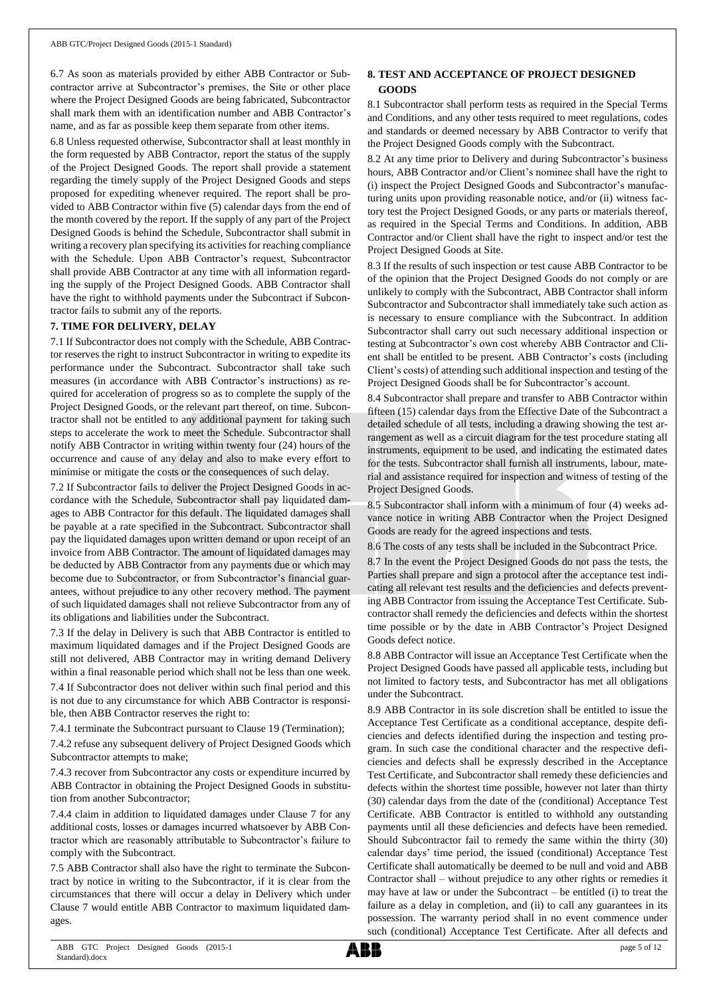6.7 As soon as materials provided by either ABB Contractor or Subcontractor arrive at Subcontractor's premises, the Site or other place where the Project Designed Goods are being fabricated, Subcontractor shall mark them with an identification number and ABB Contractor's name, and as far as possible keep them separate from other items.

6.8 Unless requested otherwise, Subcontractor shall at least monthly in the form requested by ABB Contractor, report the status of the supply of the Project Designed Goods. The report shall provide a statement regarding the timely supply of the Project Designed Goods and steps proposed for expediting whenever required. The report shall be provided to ABB Contractor within five (5) calendar days from the end of the month covered by the report. If the supply of any part of the Project Designed Goods is behind the Schedule, Subcontractor shall submit in writing a recovery plan specifying its activities for reaching compliance with the Schedule. Upon ABB Contractor's request, Subcontractor shall provide ABB Contractor at any time with all information regarding the supply of the Project Designed Goods. ABB Contractor shall have the right to withhold payments under the Subcontract if Subcontractor fails to submit any of the reports.

## **7. TIME FOR DELIVERY, DELAY**

7.1 If Subcontractor does not comply with the Schedule, ABB Contractor reserves the right to instruct Subcontractor in writing to expedite its performance under the Subcontract. Subcontractor shall take such measures (in accordance with ABB Contractor's instructions) as required for acceleration of progress so as to complete the supply of the Project Designed Goods, or the relevant part thereof, on time. Subcontractor shall not be entitled to any additional payment for taking such steps to accelerate the work to meet the Schedule. Subcontractor shall notify ABB Contractor in writing within twenty four (24) hours of the occurrence and cause of any delay and also to make every effort to minimise or mitigate the costs or the consequences of such delay.

7.2 If Subcontractor fails to deliver the Project Designed Goods in accordance with the Schedule, Subcontractor shall pay liquidated damages to ABB Contractor for this default. The liquidated damages shall be payable at a rate specified in the Subcontract. Subcontractor shall pay the liquidated damages upon written demand or upon receipt of an invoice from ABB Contractor. The amount of liquidated damages may be deducted by ABB Contractor from any payments due or which may become due to Subcontractor, or from Subcontractor's financial guarantees, without prejudice to any other recovery method. The payment of such liquidated damages shall not relieve Subcontractor from any of its obligations and liabilities under the Subcontract.

7.3 If the delay in Delivery is such that ABB Contractor is entitled to maximum liquidated damages and if the Project Designed Goods are still not delivered, ABB Contractor may in writing demand Delivery within a final reasonable period which shall not be less than one week. 7.4 If Subcontractor does not deliver within such final period and this is not due to any circumstance for which ABB Contractor is responsible, then ABB Contractor reserves the right to:

7.4.1 terminate the Subcontract pursuant to Clause 19 (Termination);

7.4.2 refuse any subsequent delivery of Project Designed Goods which Subcontractor attempts to make;

7.4.3 recover from Subcontractor any costs or expenditure incurred by ABB Contractor in obtaining the Project Designed Goods in substitution from another Subcontractor;

7.4.4 claim in addition to liquidated damages under Clause 7 for any additional costs, losses or damages incurred whatsoever by ABB Contractor which are reasonably attributable to Subcontractor's failure to comply with the Subcontract.

7.5 ABB Contractor shall also have the right to terminate the Subcontract by notice in writing to the Subcontractor, if it is clear from the circumstances that there will occur a delay in Delivery which under Clause 7 would entitle ABB Contractor to maximum liquidated damages.

# **8. TEST AND ACCEPTANCE OF PROJECT DESIGNED GOODS**

8.1 Subcontractor shall perform tests as required in the Special Terms and Conditions, and any other tests required to meet regulations, codes and standards or deemed necessary by ABB Contractor to verify that the Project Designed Goods comply with the Subcontract.

8.2 At any time prior to Delivery and during Subcontractor's business hours, ABB Contractor and/or Client's nominee shall have the right to (i) inspect the Project Designed Goods and Subcontractor's manufacturing units upon providing reasonable notice, and/or (ii) witness factory test the Project Designed Goods, or any parts or materials thereof, as required in the Special Terms and Conditions. In addition, ABB Contractor and/or Client shall have the right to inspect and/or test the Project Designed Goods at Site.

8.3 If the results of such inspection or test cause ABB Contractor to be of the opinion that the Project Designed Goods do not comply or are unlikely to comply with the Subcontract, ABB Contractor shall inform Subcontractor and Subcontractor shall immediately take such action as is necessary to ensure compliance with the Subcontract. In addition Subcontractor shall carry out such necessary additional inspection or testing at Subcontractor's own cost whereby ABB Contractor and Client shall be entitled to be present. ABB Contractor's costs (including Client's costs) of attending such additional inspection and testing of the Project Designed Goods shall be for Subcontractor's account.

8.4 Subcontractor shall prepare and transfer to ABB Contractor within fifteen (15) calendar days from the Effective Date of the Subcontract a detailed schedule of all tests, including a drawing showing the test arrangement as well as a circuit diagram for the test procedure stating all instruments, equipment to be used, and indicating the estimated dates for the tests. Subcontractor shall furnish all instruments, labour, material and assistance required for inspection and witness of testing of the Project Designed Goods.

8.5 Subcontractor shall inform with a minimum of four (4) weeks advance notice in writing ABB Contractor when the Project Designed Goods are ready for the agreed inspections and tests.

8.6 The costs of any tests shall be included in the Subcontract Price.

8.7 In the event the Project Designed Goods do not pass the tests, the Parties shall prepare and sign a protocol after the acceptance test indicating all relevant test results and the deficiencies and defects preventing ABB Contractor from issuing the Acceptance Test Certificate. Subcontractor shall remedy the deficiencies and defects within the shortest time possible or by the date in ABB Contractor's Project Designed Goods defect notice.

8.8 ABB Contractor will issue an Acceptance Test Certificate when the Project Designed Goods have passed all applicable tests, including but not limited to factory tests, and Subcontractor has met all obligations under the Subcontract.

8.9 ABB Contractor in its sole discretion shall be entitled to issue the Acceptance Test Certificate as a conditional acceptance, despite deficiencies and defects identified during the inspection and testing program. In such case the conditional character and the respective deficiencies and defects shall be expressly described in the Acceptance Test Certificate, and Subcontractor shall remedy these deficiencies and defects within the shortest time possible, however not later than thirty (30) calendar days from the date of the (conditional) Acceptance Test Certificate. ABB Contractor is entitled to withhold any outstanding payments until all these deficiencies and defects have been remedied. Should Subcontractor fail to remedy the same within the thirty (30) calendar days' time period, the issued (conditional) Acceptance Test Certificate shall automatically be deemed to be null and void and ABB Contractor shall – without prejudice to any other rights or remedies it may have at law or under the Subcontract – be entitled (i) to treat the failure as a delay in completion, and (ii) to call any guarantees in its possession. The warranty period shall in no event commence under such (conditional) Acceptance Test Certificate. After all defects and

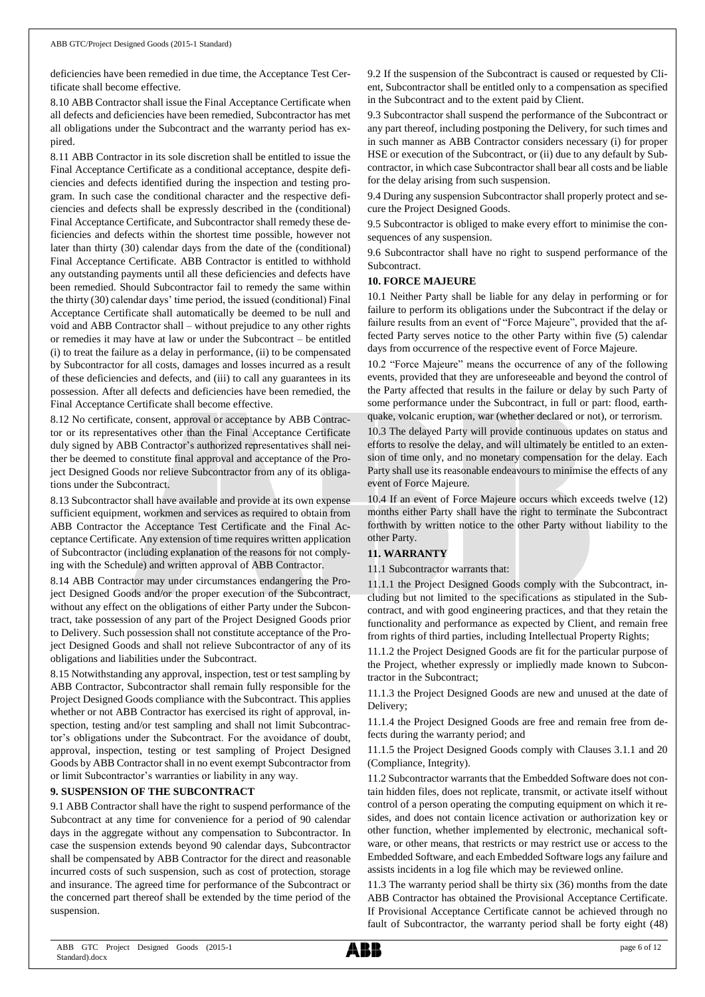deficiencies have been remedied in due time, the Acceptance Test Certificate shall become effective.

8.10 ABB Contractor shall issue the Final Acceptance Certificate when all defects and deficiencies have been remedied, Subcontractor has met all obligations under the Subcontract and the warranty period has expired.

8.11 ABB Contractor in its sole discretion shall be entitled to issue the Final Acceptance Certificate as a conditional acceptance, despite deficiencies and defects identified during the inspection and testing program. In such case the conditional character and the respective deficiencies and defects shall be expressly described in the (conditional) Final Acceptance Certificate, and Subcontractor shall remedy these deficiencies and defects within the shortest time possible, however not later than thirty (30) calendar days from the date of the (conditional) Final Acceptance Certificate. ABB Contractor is entitled to withhold any outstanding payments until all these deficiencies and defects have been remedied. Should Subcontractor fail to remedy the same within the thirty (30) calendar days' time period, the issued (conditional) Final Acceptance Certificate shall automatically be deemed to be null and void and ABB Contractor shall – without prejudice to any other rights or remedies it may have at law or under the Subcontract – be entitled (i) to treat the failure as a delay in performance, (ii) to be compensated by Subcontractor for all costs, damages and losses incurred as a result of these deficiencies and defects, and (iii) to call any guarantees in its possession. After all defects and deficiencies have been remedied, the Final Acceptance Certificate shall become effective.

8.12 No certificate, consent, approval or acceptance by ABB Contractor or its representatives other than the Final Acceptance Certificate duly signed by ABB Contractor's authorized representatives shall neither be deemed to constitute final approval and acceptance of the Project Designed Goods nor relieve Subcontractor from any of its obligations under the Subcontract.

8.13 Subcontractor shall have available and provide at its own expense sufficient equipment, workmen and services as required to obtain from ABB Contractor the Acceptance Test Certificate and the Final Acceptance Certificate. Any extension of time requires written application of Subcontractor (including explanation of the reasons for not complying with the Schedule) and written approval of ABB Contractor.

8.14 ABB Contractor may under circumstances endangering the Project Designed Goods and/or the proper execution of the Subcontract, without any effect on the obligations of either Party under the Subcontract, take possession of any part of the Project Designed Goods prior to Delivery. Such possession shall not constitute acceptance of the Project Designed Goods and shall not relieve Subcontractor of any of its obligations and liabilities under the Subcontract.

8.15 Notwithstanding any approval, inspection, test or test sampling by ABB Contractor, Subcontractor shall remain fully responsible for the Project Designed Goods compliance with the Subcontract. This applies whether or not ABB Contractor has exercised its right of approval, inspection, testing and/or test sampling and shall not limit Subcontractor's obligations under the Subcontract. For the avoidance of doubt, approval, inspection, testing or test sampling of Project Designed Goods by ABB Contractor shall in no event exempt Subcontractor from or limit Subcontractor's warranties or liability in any way.

## **9. SUSPENSION OF THE SUBCONTRACT**

9.1 ABB Contractor shall have the right to suspend performance of the Subcontract at any time for convenience for a period of 90 calendar days in the aggregate without any compensation to Subcontractor. In case the suspension extends beyond 90 calendar days, Subcontractor shall be compensated by ABB Contractor for the direct and reasonable incurred costs of such suspension, such as cost of protection, storage and insurance. The agreed time for performance of the Subcontract or the concerned part thereof shall be extended by the time period of the suspension.

9.2 If the suspension of the Subcontract is caused or requested by Client, Subcontractor shall be entitled only to a compensation as specified in the Subcontract and to the extent paid by Client.

9.3 Subcontractor shall suspend the performance of the Subcontract or any part thereof, including postponing the Delivery, for such times and in such manner as ABB Contractor considers necessary (i) for proper HSE or execution of the Subcontract, or (ii) due to any default by Subcontractor, in which case Subcontractor shall bear all costs and be liable for the delay arising from such suspension.

9.4 During any suspension Subcontractor shall properly protect and secure the Project Designed Goods.

9.5 Subcontractor is obliged to make every effort to minimise the consequences of any suspension.

9.6 Subcontractor shall have no right to suspend performance of the Subcontract.

## **10. FORCE MAJEURE**

10.1 Neither Party shall be liable for any delay in performing or for failure to perform its obligations under the Subcontract if the delay or failure results from an event of "Force Majeure", provided that the affected Party serves notice to the other Party within five (5) calendar days from occurrence of the respective event of Force Majeure.

10.2 "Force Majeure" means the occurrence of any of the following events, provided that they are unforeseeable and beyond the control of the Party affected that results in the failure or delay by such Party of some performance under the Subcontract, in full or part: flood, earthquake, volcanic eruption, war (whether declared or not), or terrorism.

10.3 The delayed Party will provide continuous updates on status and efforts to resolve the delay, and will ultimately be entitled to an extension of time only, and no monetary compensation for the delay. Each Party shall use its reasonable endeavours to minimise the effects of any event of Force Majeure.

10.4 If an event of Force Majeure occurs which exceeds twelve (12) months either Party shall have the right to terminate the Subcontract forthwith by written notice to the other Party without liability to the other Party.

## **11. WARRANTY**

11.1 Subcontractor warrants that:

11.1.1 the Project Designed Goods comply with the Subcontract, including but not limited to the specifications as stipulated in the Subcontract, and with good engineering practices, and that they retain the functionality and performance as expected by Client, and remain free from rights of third parties, including Intellectual Property Rights;

11.1.2 the Project Designed Goods are fit for the particular purpose of the Project, whether expressly or impliedly made known to Subcontractor in the Subcontract;

11.1.3 the Project Designed Goods are new and unused at the date of Delivery;

11.1.4 the Project Designed Goods are free and remain free from defects during the warranty period; and

11.1.5 the Project Designed Goods comply with Clauses 3.1.1 and 20 (Compliance, Integrity).

11.2 Subcontractor warrants that the Embedded Software does not contain hidden files, does not replicate, transmit, or activate itself without control of a person operating the computing equipment on which it resides, and does not contain licence activation or authorization key or other function, whether implemented by electronic, mechanical software, or other means, that restricts or may restrict use or access to the Embedded Software, and each Embedded Software logs any failure and assists incidents in a log file which may be reviewed online.

11.3 The warranty period shall be thirty six (36) months from the date ABB Contractor has obtained the Provisional Acceptance Certificate. If Provisional Acceptance Certificate cannot be achieved through no fault of Subcontractor, the warranty period shall be forty eight (48)

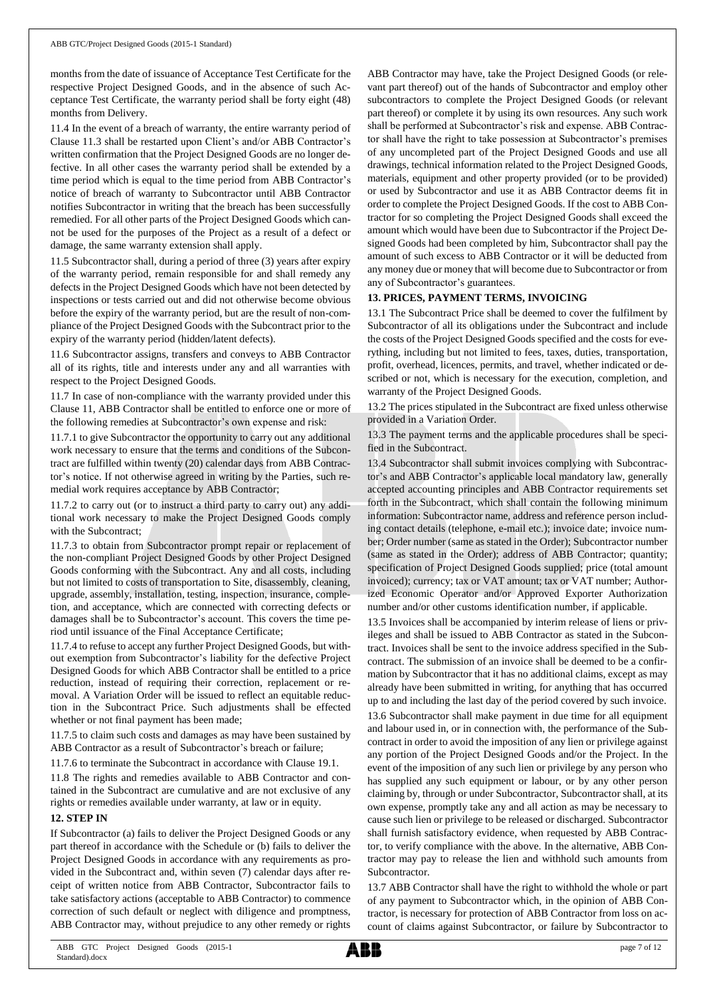months from the date of issuance of Acceptance Test Certificate for the respective Project Designed Goods, and in the absence of such Acceptance Test Certificate, the warranty period shall be forty eight (48) months from Delivery.

11.4 In the event of a breach of warranty, the entire warranty period of Clause 11.3 shall be restarted upon Client's and/or ABB Contractor's written confirmation that the Project Designed Goods are no longer defective. In all other cases the warranty period shall be extended by a time period which is equal to the time period from ABB Contractor's notice of breach of warranty to Subcontractor until ABB Contractor notifies Subcontractor in writing that the breach has been successfully remedied. For all other parts of the Project Designed Goods which cannot be used for the purposes of the Project as a result of a defect or damage, the same warranty extension shall apply.

11.5 Subcontractor shall, during a period of three (3) years after expiry of the warranty period, remain responsible for and shall remedy any defects in the Project Designed Goods which have not been detected by inspections or tests carried out and did not otherwise become obvious before the expiry of the warranty period, but are the result of non-compliance of the Project Designed Goods with the Subcontract prior to the expiry of the warranty period (hidden/latent defects).

11.6 Subcontractor assigns, transfers and conveys to ABB Contractor all of its rights, title and interests under any and all warranties with respect to the Project Designed Goods.

11.7 In case of non-compliance with the warranty provided under this Clause 11, ABB Contractor shall be entitled to enforce one or more of the following remedies at Subcontractor's own expense and risk:

11.7.1 to give Subcontractor the opportunity to carry out any additional work necessary to ensure that the terms and conditions of the Subcontract are fulfilled within twenty (20) calendar days from ABB Contractor's notice. If not otherwise agreed in writing by the Parties, such remedial work requires acceptance by ABB Contractor;

11.7.2 to carry out (or to instruct a third party to carry out) any additional work necessary to make the Project Designed Goods comply with the Subcontract;

11.7.3 to obtain from Subcontractor prompt repair or replacement of the non-compliant Project Designed Goods by other Project Designed Goods conforming with the Subcontract. Any and all costs, including but not limited to costs of transportation to Site, disassembly, cleaning, upgrade, assembly, installation, testing, inspection, insurance, completion, and acceptance, which are connected with correcting defects or damages shall be to Subcontractor's account. This covers the time period until issuance of the Final Acceptance Certificate;

11.7.4 to refuse to accept any further Project Designed Goods, but without exemption from Subcontractor's liability for the defective Project Designed Goods for which ABB Contractor shall be entitled to a price reduction, instead of requiring their correction, replacement or removal. A Variation Order will be issued to reflect an equitable reduction in the Subcontract Price. Such adjustments shall be effected whether or not final payment has been made;

11.7.5 to claim such costs and damages as may have been sustained by ABB Contractor as a result of Subcontractor's breach or failure;

11.7.6 to terminate the Subcontract in accordance with Clause 19.1.

11.8 The rights and remedies available to ABB Contractor and contained in the Subcontract are cumulative and are not exclusive of any rights or remedies available under warranty, at law or in equity.

## **12. STEP IN**

If Subcontractor (a) fails to deliver the Project Designed Goods or any part thereof in accordance with the Schedule or (b) fails to deliver the Project Designed Goods in accordance with any requirements as provided in the Subcontract and, within seven (7) calendar days after receipt of written notice from ABB Contractor, Subcontractor fails to take satisfactory actions (acceptable to ABB Contractor) to commence correction of such default or neglect with diligence and promptness, ABB Contractor may, without prejudice to any other remedy or rights

ABB Contractor may have, take the Project Designed Goods (or relevant part thereof) out of the hands of Subcontractor and employ other subcontractors to complete the Project Designed Goods (or relevant part thereof) or complete it by using its own resources. Any such work shall be performed at Subcontractor's risk and expense. ABB Contractor shall have the right to take possession at Subcontractor's premises of any uncompleted part of the Project Designed Goods and use all drawings, technical information related to the Project Designed Goods, materials, equipment and other property provided (or to be provided) or used by Subcontractor and use it as ABB Contractor deems fit in order to complete the Project Designed Goods. If the cost to ABB Contractor for so completing the Project Designed Goods shall exceed the amount which would have been due to Subcontractor if the Project Designed Goods had been completed by him, Subcontractor shall pay the amount of such excess to ABB Contractor or it will be deducted from any money due or money that will become due to Subcontractor or from any of Subcontractor's guarantees.

## **13. PRICES, PAYMENT TERMS, INVOICING**

13.1 The Subcontract Price shall be deemed to cover the fulfilment by Subcontractor of all its obligations under the Subcontract and include the costs of the Project Designed Goods specified and the costs for everything, including but not limited to fees, taxes, duties, transportation, profit, overhead, licences, permits, and travel, whether indicated or described or not, which is necessary for the execution, completion, and warranty of the Project Designed Goods.

13.2 The prices stipulated in the Subcontract are fixed unless otherwise provided in a Variation Order.

13.3 The payment terms and the applicable procedures shall be specified in the Subcontract.

13.4 Subcontractor shall submit invoices complying with Subcontractor's and ABB Contractor's applicable local mandatory law, generally accepted accounting principles and ABB Contractor requirements set forth in the Subcontract, which shall contain the following minimum information: Subcontractor name, address and reference person including contact details (telephone, e-mail etc.); invoice date; invoice number; Order number (same as stated in the Order); Subcontractor number (same as stated in the Order); address of ABB Contractor; quantity; specification of Project Designed Goods supplied; price (total amount invoiced); currency; tax or VAT amount; tax or VAT number; Authorized Economic Operator and/or Approved Exporter Authorization number and/or other customs identification number, if applicable.

13.5 Invoices shall be accompanied by interim release of liens or privileges and shall be issued to ABB Contractor as stated in the Subcontract. Invoices shall be sent to the invoice address specified in the Subcontract. The submission of an invoice shall be deemed to be a confirmation by Subcontractor that it has no additional claims, except as may already have been submitted in writing, for anything that has occurred up to and including the last day of the period covered by such invoice.

13.6 Subcontractor shall make payment in due time for all equipment and labour used in, or in connection with, the performance of the Subcontract in order to avoid the imposition of any lien or privilege against any portion of the Project Designed Goods and/or the Project. In the event of the imposition of any such lien or privilege by any person who has supplied any such equipment or labour, or by any other person claiming by, through or under Subcontractor, Subcontractor shall, at its own expense, promptly take any and all action as may be necessary to cause such lien or privilege to be released or discharged. Subcontractor shall furnish satisfactory evidence, when requested by ABB Contractor, to verify compliance with the above. In the alternative, ABB Contractor may pay to release the lien and withhold such amounts from Subcontractor.

13.7 ABB Contractor shall have the right to withhold the whole or part of any payment to Subcontractor which, in the opinion of ABB Contractor, is necessary for protection of ABB Contractor from loss on account of claims against Subcontractor, or failure by Subcontractor to

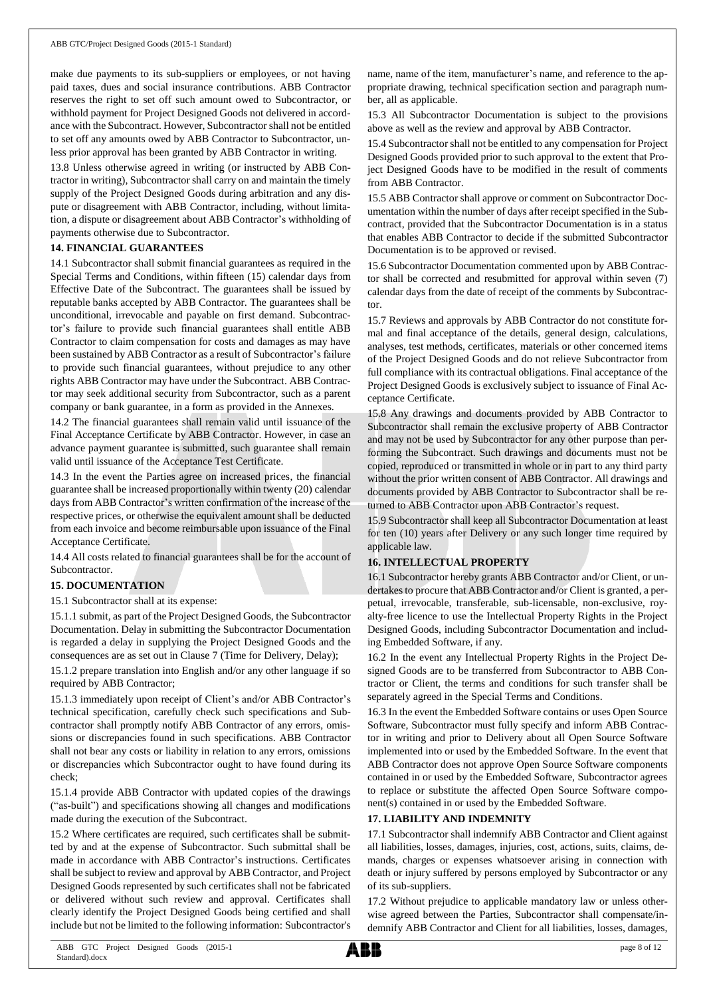make due payments to its sub-suppliers or employees, or not having paid taxes, dues and social insurance contributions. ABB Contractor reserves the right to set off such amount owed to Subcontractor, or withhold payment for Project Designed Goods not delivered in accordance with the Subcontract. However, Subcontractor shall not be entitled to set off any amounts owed by ABB Contractor to Subcontractor, unless prior approval has been granted by ABB Contractor in writing.

13.8 Unless otherwise agreed in writing (or instructed by ABB Contractor in writing), Subcontractorshall carry on and maintain the timely supply of the Project Designed Goods during arbitration and any dispute or disagreement with ABB Contractor, including, without limitation, a dispute or disagreement about ABB Contractor's withholding of payments otherwise due to Subcontractor.

# **14. FINANCIAL GUARANTEES**

14.1 Subcontractor shall submit financial guarantees as required in the Special Terms and Conditions, within fifteen (15) calendar days from Effective Date of the Subcontract. The guarantees shall be issued by reputable banks accepted by ABB Contractor. The guarantees shall be unconditional, irrevocable and payable on first demand. Subcontractor's failure to provide such financial guarantees shall entitle ABB Contractor to claim compensation for costs and damages as may have been sustained by ABB Contractor as a result of Subcontractor's failure to provide such financial guarantees, without prejudice to any other rights ABB Contractor may have under the Subcontract. ABB Contractor may seek additional security from Subcontractor, such as a parent company or bank guarantee, in a form as provided in the Annexes.

14.2 The financial guarantees shall remain valid until issuance of the Final Acceptance Certificate by ABB Contractor. However, in case an advance payment guarantee is submitted, such guarantee shall remain valid until issuance of the Acceptance Test Certificate.

14.3 In the event the Parties agree on increased prices, the financial guarantee shall be increased proportionally within twenty (20) calendar days from ABB Contractor's written confirmation of the increase of the respective prices, or otherwise the equivalent amount shall be deducted from each invoice and become reimbursable upon issuance of the Final Acceptance Certificate.

14.4 All costs related to financial guarantees shall be for the account of Subcontractor.

# **15. DOCUMENTATION**

15.1 Subcontractor shall at its expense:

15.1.1 submit, as part of the Project Designed Goods, the Subcontractor Documentation. Delay in submitting the Subcontractor Documentation is regarded a delay in supplying the Project Designed Goods and the consequences are as set out in Clause 7 (Time for Delivery, Delay);

15.1.2 prepare translation into English and/or any other language if so required by ABB Contractor;

15.1.3 immediately upon receipt of Client's and/or ABB Contractor's technical specification, carefully check such specifications and Subcontractor shall promptly notify ABB Contractor of any errors, omissions or discrepancies found in such specifications. ABB Contractor shall not bear any costs or liability in relation to any errors, omissions or discrepancies which Subcontractor ought to have found during its check;

15.1.4 provide ABB Contractor with updated copies of the drawings ("as-built") and specifications showing all changes and modifications made during the execution of the Subcontract.

15.2 Where certificates are required, such certificates shall be submitted by and at the expense of Subcontractor. Such submittal shall be made in accordance with ABB Contractor's instructions. Certificates shall be subject to review and approval by ABB Contractor, and Project Designed Goods represented by such certificates shall not be fabricated or delivered without such review and approval. Certificates shall clearly identify the Project Designed Goods being certified and shall include but not be limited to the following information: Subcontractor's

name, name of the item, manufacturer's name, and reference to the appropriate drawing, technical specification section and paragraph number, all as applicable.

15.3 All Subcontractor Documentation is subject to the provisions above as well as the review and approval by ABB Contractor.

15.4 Subcontractorshall not be entitled to any compensation for Project Designed Goods provided prior to such approval to the extent that Project Designed Goods have to be modified in the result of comments from ABB Contractor.

15.5 ABB Contractor shall approve or comment on Subcontractor Documentation within the number of days after receipt specified in the Subcontract, provided that the Subcontractor Documentation is in a status that enables ABB Contractor to decide if the submitted Subcontractor Documentation is to be approved or revised.

15.6 Subcontractor Documentation commented upon by ABB Contractor shall be corrected and resubmitted for approval within seven (7) calendar days from the date of receipt of the comments by Subcontractor.

15.7 Reviews and approvals by ABB Contractor do not constitute formal and final acceptance of the details, general design, calculations, analyses, test methods, certificates, materials or other concerned items of the Project Designed Goods and do not relieve Subcontractor from full compliance with its contractual obligations. Final acceptance of the Project Designed Goods is exclusively subject to issuance of Final Acceptance Certificate.

15.8 Any drawings and documents provided by ABB Contractor to Subcontractor shall remain the exclusive property of ABB Contractor and may not be used by Subcontractor for any other purpose than performing the Subcontract. Such drawings and documents must not be copied, reproduced or transmitted in whole or in part to any third party without the prior written consent of ABB Contractor. All drawings and documents provided by ABB Contractor to Subcontractor shall be returned to ABB Contractor upon ABB Contractor's request.

15.9 Subcontractor shall keep all Subcontractor Documentation at least for ten (10) years after Delivery or any such longer time required by applicable law.

# **16. INTELLECTUAL PROPERTY**

16.1 Subcontractor hereby grants ABB Contractor and/or Client, or undertakes to procure that ABB Contractor and/or Client is granted, a perpetual, irrevocable, transferable, sub-licensable, non-exclusive, royalty-free licence to use the Intellectual Property Rights in the Project Designed Goods, including Subcontractor Documentation and including Embedded Software, if any.

16.2 In the event any Intellectual Property Rights in the Project Designed Goods are to be transferred from Subcontractor to ABB Contractor or Client, the terms and conditions for such transfer shall be separately agreed in the Special Terms and Conditions.

16.3 In the event the Embedded Software contains or uses Open Source Software, Subcontractor must fully specify and inform ABB Contractor in writing and prior to Delivery about all Open Source Software implemented into or used by the Embedded Software. In the event that ABB Contractor does not approve Open Source Software components contained in or used by the Embedded Software, Subcontractor agrees to replace or substitute the affected Open Source Software component(s) contained in or used by the Embedded Software.

## **17. LIABILITY AND INDEMNITY**

17.1 Subcontractor shall indemnify ABB Contractor and Client against all liabilities, losses, damages, injuries, cost, actions, suits, claims, demands, charges or expenses whatsoever arising in connection with death or injury suffered by persons employed by Subcontractor or any of its sub-suppliers.

17.2 Without prejudice to applicable mandatory law or unless otherwise agreed between the Parties, Subcontractor shall compensate/indemnify ABB Contractor and Client for all liabilities, losses, damages,

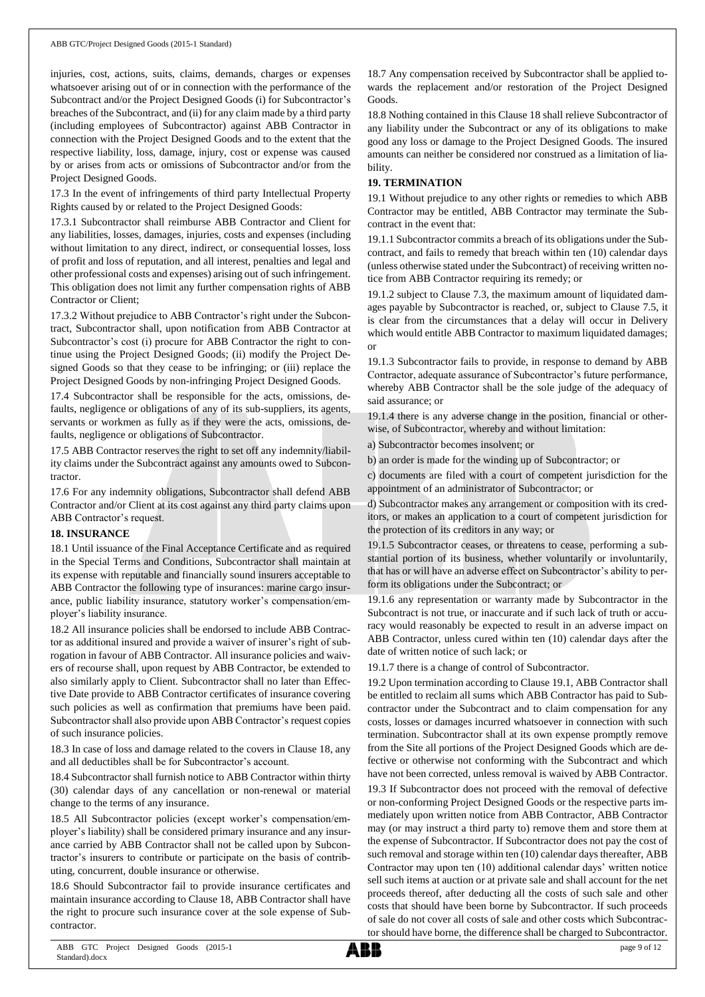injuries, cost, actions, suits, claims, demands, charges or expenses whatsoever arising out of or in connection with the performance of the Subcontract and/or the Project Designed Goods (i) for Subcontractor's breaches of the Subcontract, and (ii) for any claim made by a third party (including employees of Subcontractor) against ABB Contractor in connection with the Project Designed Goods and to the extent that the respective liability, loss, damage, injury, cost or expense was caused by or arises from acts or omissions of Subcontractor and/or from the Project Designed Goods.

17.3 In the event of infringements of third party Intellectual Property Rights caused by or related to the Project Designed Goods:

17.3.1 Subcontractor shall reimburse ABB Contractor and Client for any liabilities, losses, damages, injuries, costs and expenses (including without limitation to any direct, indirect, or consequential losses, loss of profit and loss of reputation, and all interest, penalties and legal and other professional costs and expenses) arising out of such infringement. This obligation does not limit any further compensation rights of ABB Contractor or Client;

17.3.2 Without prejudice to ABB Contractor's right under the Subcontract, Subcontractor shall, upon notification from ABB Contractor at Subcontractor's cost (i) procure for ABB Contractor the right to continue using the Project Designed Goods; (ii) modify the Project Designed Goods so that they cease to be infringing; or (iii) replace the Project Designed Goods by non-infringing Project Designed Goods.

17.4 Subcontractor shall be responsible for the acts, omissions, defaults, negligence or obligations of any of its sub-suppliers, its agents, servants or workmen as fully as if they were the acts, omissions, defaults, negligence or obligations of Subcontractor.

17.5 ABB Contractor reserves the right to set off any indemnity/liability claims under the Subcontract against any amounts owed to Subcontractor.

17.6 For any indemnity obligations, Subcontractor shall defend ABB Contractor and/or Client at its cost against any third party claims upon ABB Contractor's request.

## **18. INSURANCE**

18.1 Until issuance of the Final Acceptance Certificate and as required in the Special Terms and Conditions, Subcontractor shall maintain at its expense with reputable and financially sound insurers acceptable to ABB Contractor the following type of insurances: marine cargo insurance, public liability insurance, statutory worker's compensation/employer's liability insurance.

18.2 All insurance policies shall be endorsed to include ABB Contractor as additional insured and provide a waiver of insurer's right of subrogation in favour of ABB Contractor. All insurance policies and waivers of recourse shall, upon request by ABB Contractor, be extended to also similarly apply to Client. Subcontractor shall no later than Effective Date provide to ABB Contractor certificates of insurance covering such policies as well as confirmation that premiums have been paid. Subcontractor shall also provide upon ABB Contractor's request copies of such insurance policies.

18.3 In case of loss and damage related to the covers in Clause 18, any and all deductibles shall be for Subcontractor's account.

18.4 Subcontractor shall furnish notice to ABB Contractor within thirty (30) calendar days of any cancellation or non-renewal or material change to the terms of any insurance.

18.5 All Subcontractor policies (except worker's compensation/employer's liability) shall be considered primary insurance and any insurance carried by ABB Contractor shall not be called upon by Subcontractor's insurers to contribute or participate on the basis of contributing, concurrent, double insurance or otherwise.

18.6 Should Subcontractor fail to provide insurance certificates and maintain insurance according to Clause 18, ABB Contractor shall have the right to procure such insurance cover at the sole expense of Subcontractor.

18.7 Any compensation received by Subcontractor shall be applied towards the replacement and/or restoration of the Project Designed Goods.

18.8 Nothing contained in this Clause 18 shall relieve Subcontractor of any liability under the Subcontract or any of its obligations to make good any loss or damage to the Project Designed Goods. The insured amounts can neither be considered nor construed as a limitation of liability.

# **19. TERMINATION**

19.1 Without prejudice to any other rights or remedies to which ABB Contractor may be entitled, ABB Contractor may terminate the Subcontract in the event that:

19.1.1 Subcontractor commits a breach of its obligations under the Subcontract, and fails to remedy that breach within ten (10) calendar days (unless otherwise stated under the Subcontract) of receiving written notice from ABB Contractor requiring its remedy; or

19.1.2 subject to Clause 7.3, the maximum amount of liquidated damages payable by Subcontractor is reached, or, subject to Clause 7.5, it is clear from the circumstances that a delay will occur in Delivery which would entitle ABB Contractor to maximum liquidated damages; or

19.1.3 Subcontractor fails to provide, in response to demand by ABB Contractor, adequate assurance of Subcontractor's future performance, whereby ABB Contractor shall be the sole judge of the adequacy of said assurance; or

19.1.4 there is any adverse change in the position, financial or otherwise, of Subcontractor, whereby and without limitation:

a) Subcontractor becomes insolvent; or

b) an order is made for the winding up of Subcontractor; or

c) documents are filed with a court of competent jurisdiction for the appointment of an administrator of Subcontractor; or

d) Subcontractor makes any arrangement or composition with its creditors, or makes an application to a court of competent jurisdiction for the protection of its creditors in any way; or

19.1.5 Subcontractor ceases, or threatens to cease, performing a substantial portion of its business, whether voluntarily or involuntarily, that has or will have an adverse effect on Subcontractor's ability to perform its obligations under the Subcontract; or

19.1.6 any representation or warranty made by Subcontractor in the Subcontract is not true, or inaccurate and if such lack of truth or accuracy would reasonably be expected to result in an adverse impact on ABB Contractor, unless cured within ten (10) calendar days after the date of written notice of such lack; or

19.1.7 there is a change of control of Subcontractor.

19.2 Upon termination according to Clause 19.1, ABB Contractor shall be entitled to reclaim all sums which ABB Contractor has paid to Subcontractor under the Subcontract and to claim compensation for any costs, losses or damages incurred whatsoever in connection with such termination. Subcontractor shall at its own expense promptly remove from the Site all portions of the Project Designed Goods which are defective or otherwise not conforming with the Subcontract and which have not been corrected, unless removal is waived by ABB Contractor.

19.3 If Subcontractor does not proceed with the removal of defective or non-conforming Project Designed Goods or the respective parts immediately upon written notice from ABB Contractor, ABB Contractor may (or may instruct a third party to) remove them and store them at the expense of Subcontractor. If Subcontractor does not pay the cost of such removal and storage within ten (10) calendar days thereafter, ABB Contractor may upon ten (10) additional calendar days' written notice sell such items at auction or at private sale and shall account for the net proceeds thereof, after deducting all the costs of such sale and other costs that should have been borne by Subcontractor. If such proceeds of sale do not cover all costs of sale and other costs which Subcontractor should have borne, the difference shall be charged to Subcontractor.

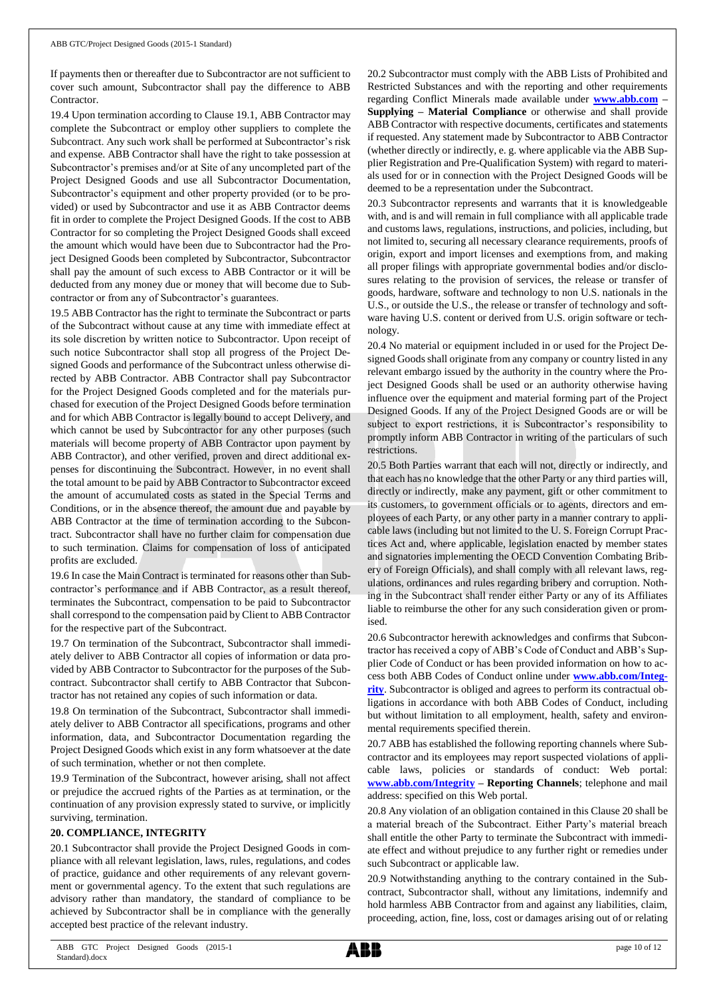If payments then or thereafter due to Subcontractor are not sufficient to cover such amount, Subcontractor shall pay the difference to ABB Contractor.

19.4 Upon termination according to Clause 19.1, ABB Contractor may complete the Subcontract or employ other suppliers to complete the Subcontract. Any such work shall be performed at Subcontractor's risk and expense. ABB Contractor shall have the right to take possession at Subcontractor's premises and/or at Site of any uncompleted part of the Project Designed Goods and use all Subcontractor Documentation, Subcontractor's equipment and other property provided (or to be provided) or used by Subcontractor and use it as ABB Contractor deems fit in order to complete the Project Designed Goods. If the cost to ABB Contractor for so completing the Project Designed Goods shall exceed the amount which would have been due to Subcontractor had the Project Designed Goods been completed by Subcontractor, Subcontractor shall pay the amount of such excess to ABB Contractor or it will be deducted from any money due or money that will become due to Subcontractor or from any of Subcontractor's guarantees.

19.5 ABB Contractor has the right to terminate the Subcontract or parts of the Subcontract without cause at any time with immediate effect at its sole discretion by written notice to Subcontractor. Upon receipt of such notice Subcontractor shall stop all progress of the Project Designed Goods and performance of the Subcontract unless otherwise directed by ABB Contractor. ABB Contractor shall pay Subcontractor for the Project Designed Goods completed and for the materials purchased for execution of the Project Designed Goods before termination and for which ABB Contractor is legally bound to accept Delivery, and which cannot be used by Subcontractor for any other purposes (such materials will become property of ABB Contractor upon payment by ABB Contractor), and other verified, proven and direct additional expenses for discontinuing the Subcontract. However, in no event shall the total amount to be paid by ABB Contractor to Subcontractor exceed the amount of accumulated costs as stated in the Special Terms and Conditions, or in the absence thereof, the amount due and payable by ABB Contractor at the time of termination according to the Subcontract. Subcontractor shall have no further claim for compensation due to such termination. Claims for compensation of loss of anticipated profits are excluded.

19.6 In case the Main Contract is terminated for reasons other than Subcontractor's performance and if ABB Contractor, as a result thereof, terminates the Subcontract, compensation to be paid to Subcontractor shall correspond to the compensation paid by Client to ABB Contractor for the respective part of the Subcontract.

19.7 On termination of the Subcontract, Subcontractor shall immediately deliver to ABB Contractor all copies of information or data provided by ABB Contractor to Subcontractor for the purposes of the Subcontract. Subcontractor shall certify to ABB Contractor that Subcontractor has not retained any copies of such information or data.

19.8 On termination of the Subcontract, Subcontractor shall immediately deliver to ABB Contractor all specifications, programs and other information, data, and Subcontractor Documentation regarding the Project Designed Goods which exist in any form whatsoever at the date of such termination, whether or not then complete.

19.9 Termination of the Subcontract, however arising, shall not affect or prejudice the accrued rights of the Parties as at termination, or the continuation of any provision expressly stated to survive, or implicitly surviving, termination.

## **20. COMPLIANCE, INTEGRITY**

20.1 Subcontractor shall provide the Project Designed Goods in compliance with all relevant legislation, laws, rules, regulations, and codes of practice, guidance and other requirements of any relevant government or governmental agency. To the extent that such regulations are advisory rather than mandatory, the standard of compliance to be achieved by Subcontractor shall be in compliance with the generally accepted best practice of the relevant industry.

20.2 Subcontractor must comply with the ABB Lists of Prohibited and Restricted Substances and with the reporting and other requirements regarding Conflict Minerals made available under **[www.abb.com](http://www.abb.com/) – Supplying – Material Compliance** or otherwise and shall provide ABB Contractor with respective documents, certificates and statements if requested. Any statement made by Subcontractor to ABB Contractor (whether directly or indirectly, e. g. where applicable via the ABB Supplier Registration and Pre-Qualification System) with regard to materials used for or in connection with the Project Designed Goods will be deemed to be a representation under the Subcontract.

20.3 Subcontractor represents and warrants that it is knowledgeable with, and is and will remain in full compliance with all applicable trade and customs laws, regulations, instructions, and policies, including, but not limited to, securing all necessary clearance requirements, proofs of origin, export and import licenses and exemptions from, and making all proper filings with appropriate governmental bodies and/or disclosures relating to the provision of services, the release or transfer of goods, hardware, software and technology to non U.S. nationals in the U.S., or outside the U.S., the release or transfer of technology and software having U.S. content or derived from U.S. origin software or technology.

20.4 No material or equipment included in or used for the Project Designed Goods shall originate from any company or country listed in any relevant embargo issued by the authority in the country where the Project Designed Goods shall be used or an authority otherwise having influence over the equipment and material forming part of the Project Designed Goods. If any of the Project Designed Goods are or will be subject to export restrictions, it is Subcontractor's responsibility to promptly inform ABB Contractor in writing of the particulars of such restrictions.

20.5 Both Parties warrant that each will not, directly or indirectly, and that each has no knowledge that the other Party or any third parties will, directly or indirectly, make any payment, gift or other commitment to its customers, to government officials or to agents, directors and employees of each Party, or any other party in a manner contrary to applicable laws (including but not limited to the U. S. Foreign Corrupt Practices Act and, where applicable, legislation enacted by member states and signatories implementing the OECD Convention Combating Bribery of Foreign Officials), and shall comply with all relevant laws, regulations, ordinances and rules regarding bribery and corruption. Nothing in the Subcontract shall render either Party or any of its Affiliates liable to reimburse the other for any such consideration given or promised.

20.6 Subcontractor herewith acknowledges and confirms that Subcontractor has received a copy of ABB's Code of Conduct and ABB's Supplier Code of Conduct or has been provided information on how to access both ABB Codes of Conduct online under **[www.abb.com/Integ](http://www.abb.com/Integrity)[rity](http://www.abb.com/Integrity)**. Subcontractor is obliged and agrees to perform its contractual obligations in accordance with both ABB Codes of Conduct, including but without limitation to all employment, health, safety and environmental requirements specified therein.

20.7 ABB has established the following reporting channels where Subcontractor and its employees may report suspected violations of applicable laws, policies or standards of conduct: Web portal: **[www.abb.com/Integrity](http://www.abb.com/Integrity) – Reporting Channels**; telephone and mail address: specified on this Web portal.

20.8 Any violation of an obligation contained in this Clause 20 shall be a material breach of the Subcontract. Either Party's material breach shall entitle the other Party to terminate the Subcontract with immediate effect and without prejudice to any further right or remedies under such Subcontract or applicable law.

20.9 Notwithstanding anything to the contrary contained in the Subcontract, Subcontractor shall, without any limitations, indemnify and hold harmless ABB Contractor from and against any liabilities, claim, proceeding, action, fine, loss, cost or damages arising out of or relating

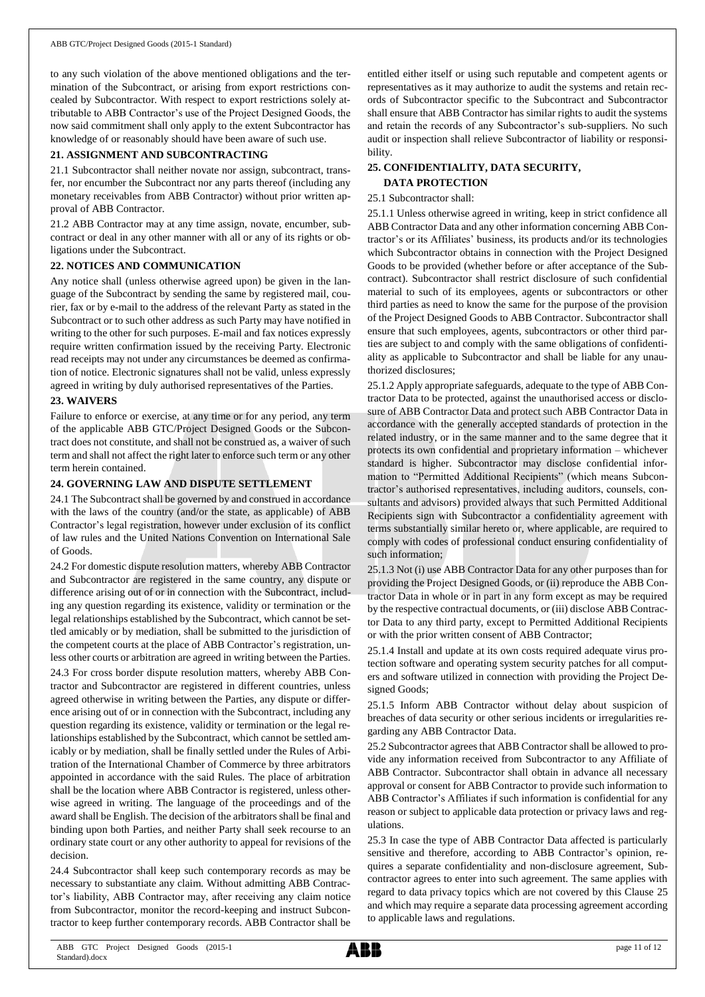to any such violation of the above mentioned obligations and the termination of the Subcontract, or arising from export restrictions concealed by Subcontractor. With respect to export restrictions solely attributable to ABB Contractor's use of the Project Designed Goods, the now said commitment shall only apply to the extent Subcontractor has knowledge of or reasonably should have been aware of such use.

## **21. ASSIGNMENT AND SUBCONTRACTING**

21.1 Subcontractor shall neither novate nor assign, subcontract, transfer, nor encumber the Subcontract nor any parts thereof (including any monetary receivables from ABB Contractor) without prior written approval of ABB Contractor.

21.2 ABB Contractor may at any time assign, novate, encumber, subcontract or deal in any other manner with all or any of its rights or obligations under the Subcontract.

## **22. NOTICES AND COMMUNICATION**

Any notice shall (unless otherwise agreed upon) be given in the language of the Subcontract by sending the same by registered mail, courier, fax or by e-mail to the address of the relevant Party as stated in the Subcontract or to such other address as such Party may have notified in writing to the other for such purposes. E-mail and fax notices expressly require written confirmation issued by the receiving Party. Electronic read receipts may not under any circumstances be deemed as confirmation of notice. Electronic signatures shall not be valid, unless expressly agreed in writing by duly authorised representatives of the Parties.

## **23. WAIVERS**

Failure to enforce or exercise, at any time or for any period, any term of the applicable ABB GTC/Project Designed Goods or the Subcontract does not constitute, and shall not be construed as, a waiver of such term and shall not affect the right later to enforce such term or any other term herein contained.

## **24. GOVERNING LAW AND DISPUTE SETTLEMENT**

24.1 The Subcontract shall be governed by and construed in accordance with the laws of the country (and/or the state, as applicable) of ABB Contractor's legal registration, however under exclusion of its conflict of law rules and the United Nations Convention on International Sale of Goods.

24.2 For domestic dispute resolution matters, whereby ABB Contractor and Subcontractor are registered in the same country, any dispute or difference arising out of or in connection with the Subcontract, including any question regarding its existence, validity or termination or the legal relationships established by the Subcontract, which cannot be settled amicably or by mediation, shall be submitted to the jurisdiction of the competent courts at the place of ABB Contractor's registration, unless other courts or arbitration are agreed in writing between the Parties. 24.3 For cross border dispute resolution matters, whereby ABB Contractor and Subcontractor are registered in different countries, unless agreed otherwise in writing between the Parties, any dispute or difference arising out of or in connection with the Subcontract, including any question regarding its existence, validity or termination or the legal relationships established by the Subcontract, which cannot be settled amicably or by mediation, shall be finally settled under the Rules of Arbitration of the International Chamber of Commerce by three arbitrators appointed in accordance with the said Rules. The place of arbitration shall be the location where ABB Contractor is registered, unless otherwise agreed in writing. The language of the proceedings and of the award shall be English. The decision of the arbitrators shall be final and binding upon both Parties, and neither Party shall seek recourse to an ordinary state court or any other authority to appeal for revisions of the decision.

24.4 Subcontractor shall keep such contemporary records as may be necessary to substantiate any claim. Without admitting ABB Contractor's liability, ABB Contractor may, after receiving any claim notice from Subcontractor, monitor the record-keeping and instruct Subcontractor to keep further contemporary records. ABB Contractor shall be entitled either itself or using such reputable and competent agents or representatives as it may authorize to audit the systems and retain records of Subcontractor specific to the Subcontract and Subcontractor shall ensure that ABB Contractor has similar rights to audit the systems and retain the records of any Subcontractor's sub-suppliers. No such audit or inspection shall relieve Subcontractor of liability or responsibility.

## **25. CONFIDENTIALITY, DATA SECURITY, DATA PROTECTION**

## 25.1 Subcontractor shall:

25.1.1 Unless otherwise agreed in writing, keep in strict confidence all ABB Contractor Data and any other information concerning ABB Contractor's or its Affiliates' business, its products and/or its technologies which Subcontractor obtains in connection with the Project Designed Goods to be provided (whether before or after acceptance of the Subcontract). Subcontractor shall restrict disclosure of such confidential material to such of its employees, agents or subcontractors or other third parties as need to know the same for the purpose of the provision of the Project Designed Goods to ABB Contractor. Subcontractor shall ensure that such employees, agents, subcontractors or other third parties are subject to and comply with the same obligations of confidentiality as applicable to Subcontractor and shall be liable for any unauthorized disclosures;

25.1.2 Apply appropriate safeguards, adequate to the type of ABB Contractor Data to be protected, against the unauthorised access or disclosure of ABB Contractor Data and protect such ABB Contractor Data in accordance with the generally accepted standards of protection in the related industry, or in the same manner and to the same degree that it protects its own confidential and proprietary information – whichever standard is higher. Subcontractor may disclose confidential information to "Permitted Additional Recipients" (which means Subcontractor's authorised representatives, including auditors, counsels, consultants and advisors) provided always that such Permitted Additional Recipients sign with Subcontractor a confidentiality agreement with terms substantially similar hereto or, where applicable, are required to comply with codes of professional conduct ensuring confidentiality of such information;

25.1.3 Not (i) use ABB Contractor Data for any other purposes than for providing the Project Designed Goods, or (ii) reproduce the ABB Contractor Data in whole or in part in any form except as may be required by the respective contractual documents, or (iii) disclose ABB Contractor Data to any third party, except to Permitted Additional Recipients or with the prior written consent of ABB Contractor;

25.1.4 Install and update at its own costs required adequate virus protection software and operating system security patches for all computers and software utilized in connection with providing the Project Designed Goods;

25.1.5 Inform ABB Contractor without delay about suspicion of breaches of data security or other serious incidents or irregularities regarding any ABB Contractor Data.

25.2 Subcontractor agrees that ABB Contractor shall be allowed to provide any information received from Subcontractor to any Affiliate of ABB Contractor. Subcontractor shall obtain in advance all necessary approval or consent for ABB Contractor to provide such information to ABB Contractor's Affiliates if such information is confidential for any reason or subject to applicable data protection or privacy laws and regulations.

25.3 In case the type of ABB Contractor Data affected is particularly sensitive and therefore, according to ABB Contractor's opinion, requires a separate confidentiality and non-disclosure agreement, Subcontractor agrees to enter into such agreement. The same applies with regard to data privacy topics which are not covered by this Clause 25 and which may require a separate data processing agreement according to applicable laws and regulations.